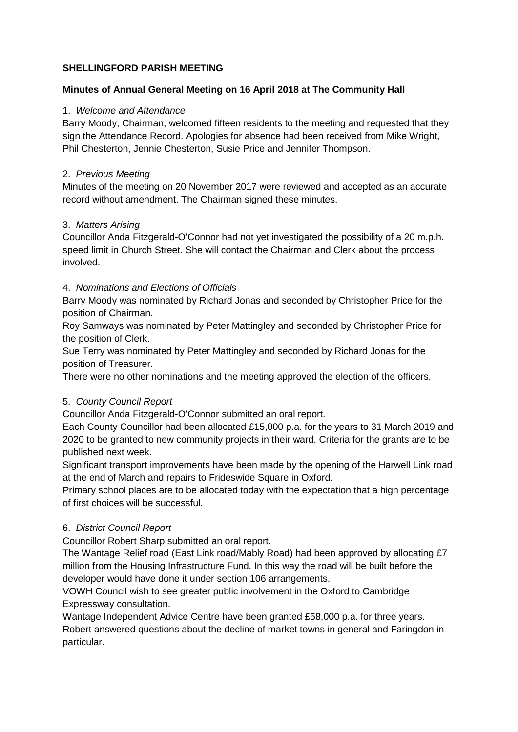# **SHELLINGFORD PARISH MEETING**

# **Minutes of Annual General Meeting on 16 April 2018 at The Community Hall**

### 1. *Welcome and Attendance*

Barry Moody, Chairman, welcomed fifteen residents to the meeting and requested that they sign the Attendance Record. Apologies for absence had been received from Mike Wright, Phil Chesterton, Jennie Chesterton, Susie Price and Jennifer Thompson.

### 2. *Previous Meeting*

Minutes of the meeting on 20 November 2017 were reviewed and accepted as an accurate record without amendment. The Chairman signed these minutes.

### 3. *Matters Arising*

Councillor Anda Fitzgerald-O'Connor had not yet investigated the possibility of a 20 m.p.h. speed limit in Church Street. She will contact the Chairman and Clerk about the process involved.

# 4. *Nominations and Elections of Officials*

Barry Moody was nominated by Richard Jonas and seconded by Christopher Price for the position of Chairman.

Roy Samways was nominated by Peter Mattingley and seconded by Christopher Price for the position of Clerk.

Sue Terry was nominated by Peter Mattingley and seconded by Richard Jonas for the position of Treasurer.

There were no other nominations and the meeting approved the election of the officers.

### 5. *County Council Report*

Councillor Anda Fitzgerald-O'Connor submitted an oral report.

Each County Councillor had been allocated £15,000 p.a. for the years to 31 March 2019 and 2020 to be granted to new community projects in their ward. Criteria for the grants are to be published next week.

Significant transport improvements have been made by the opening of the Harwell Link road at the end of March and repairs to Frideswide Square in Oxford.

Primary school places are to be allocated today with the expectation that a high percentage of first choices will be successful.

# 6. *District Council Report*

Councillor Robert Sharp submitted an oral report.

The Wantage Relief road (East Link road/Mably Road) had been approved by allocating £7 million from the Housing Infrastructure Fund. In this way the road will be built before the developer would have done it under section 106 arrangements.

VOWH Council wish to see greater public involvement in the Oxford to Cambridge Expressway consultation.

Wantage Independent Advice Centre have been granted £58,000 p.a. for three years. Robert answered questions about the decline of market towns in general and Faringdon in particular.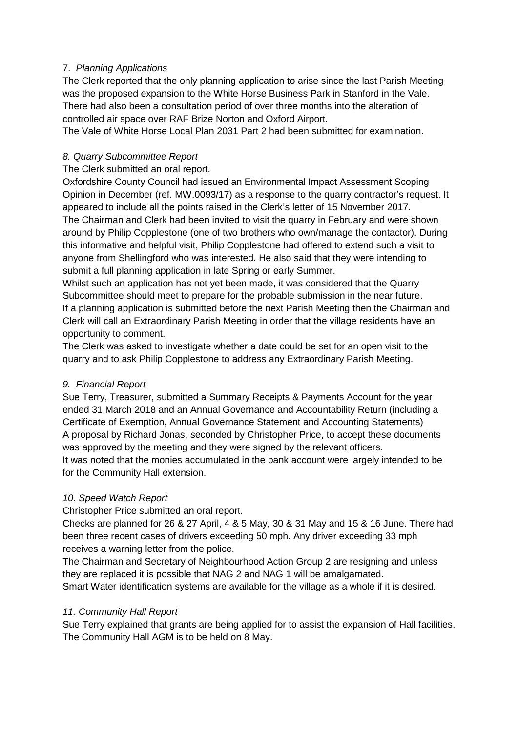# 7. *Planning Applications*

The Clerk reported that the only planning application to arise since the last Parish Meeting was the proposed expansion to the White Horse Business Park in Stanford in the Vale. There had also been a consultation period of over three months into the alteration of controlled air space over RAF Brize Norton and Oxford Airport.

The Vale of White Horse Local Plan 2031 Part 2 had been submitted for examination.

# *8. Quarry Subcommittee Report*

The Clerk submitted an oral report.

Oxfordshire County Council had issued an Environmental Impact Assessment Scoping Opinion in December (ref. MW.0093/17) as a response to the quarry contractor's request. It appeared to include all the points raised in the Clerk's letter of 15 November 2017. The Chairman and Clerk had been invited to visit the quarry in February and were shown around by Philip Copplestone (one of two brothers who own/manage the contactor). During this informative and helpful visit, Philip Copplestone had offered to extend such a visit to anyone from Shellingford who was interested. He also said that they were intending to submit a full planning application in late Spring or early Summer.

Whilst such an application has not yet been made, it was considered that the Quarry Subcommittee should meet to prepare for the probable submission in the near future. If a planning application is submitted before the next Parish Meeting then the Chairman and Clerk will call an Extraordinary Parish Meeting in order that the village residents have an opportunity to comment.

The Clerk was asked to investigate whether a date could be set for an open visit to the quarry and to ask Philip Copplestone to address any Extraordinary Parish Meeting.

# *9. Financial Report*

Sue Terry, Treasurer, submitted a Summary Receipts & Payments Account for the year ended 31 March 2018 and an Annual Governance and Accountability Return (including a Certificate of Exemption, Annual Governance Statement and Accounting Statements) A proposal by Richard Jonas, seconded by Christopher Price, to accept these documents was approved by the meeting and they were signed by the relevant officers. It was noted that the monies accumulated in the bank account were largely intended to be for the Community Hall extension.

# *10. Speed Watch Report*

Christopher Price submitted an oral report.

Checks are planned for 26 & 27 April, 4 & 5 May, 30 & 31 May and 15 & 16 June. There had been three recent cases of drivers exceeding 50 mph. Any driver exceeding 33 mph receives a warning letter from the police.

The Chairman and Secretary of Neighbourhood Action Group 2 are resigning and unless they are replaced it is possible that NAG 2 and NAG 1 will be amalgamated. Smart Water identification systems are available for the village as a whole if it is desired.

# *11. Community Hall Report*

Sue Terry explained that grants are being applied for to assist the expansion of Hall facilities. The Community Hall AGM is to be held on 8 May.